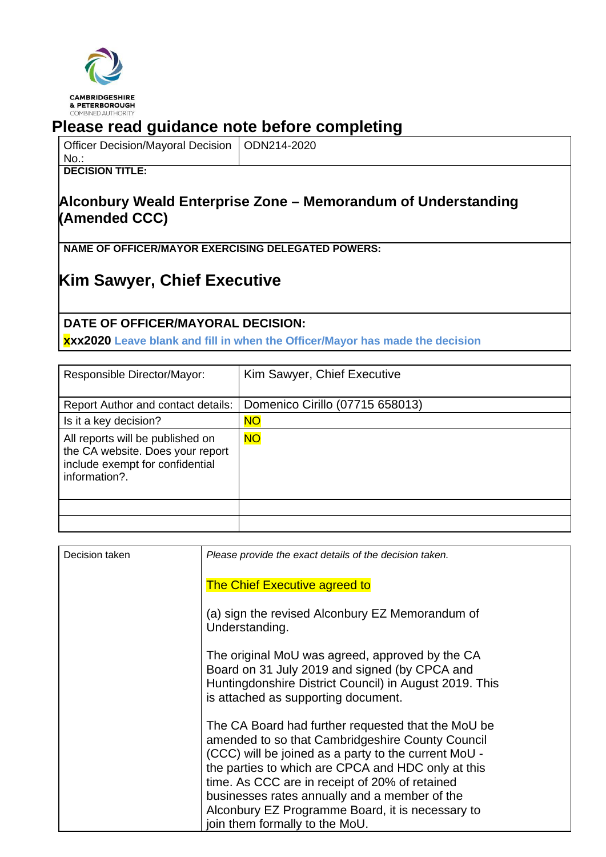

## **Please read guidance note before completing**

| Officer Decision/Mayoral Decision   ODN214-2020 |  |
|-------------------------------------------------|--|
|-------------------------------------------------|--|

#### No.: **DECISION TITLE:**

## **Alconbury Weald Enterprise Zone – Memorandum of Understanding (Amended CCC)**

**NAME OF OFFICER/MAYOR EXERCISING DELEGATED POWERS:**

# **Kim Sawyer, Chief Executive**

### **DATE OF OFFICER/MAYORAL DECISION:**

**xxx2020 Leave blank and fill in when the Officer/Mayor has made the decision**

| Responsible Director/Mayor:                                                                                              | Kim Sawyer, Chief Executive     |
|--------------------------------------------------------------------------------------------------------------------------|---------------------------------|
| <b>Report Author and contact details:</b>                                                                                | Domenico Cirillo (07715 658013) |
| Is it a key decision?                                                                                                    | <b>NO</b>                       |
| All reports will be published on<br>the CA website. Does your report<br>include exempt for confidential<br>information?. | <b>NO</b>                       |
|                                                                                                                          |                                 |
|                                                                                                                          |                                 |

| Decision taken | Please provide the exact details of the decision taken.                                                                                                                                                                                                                                                                                                                                                       |
|----------------|---------------------------------------------------------------------------------------------------------------------------------------------------------------------------------------------------------------------------------------------------------------------------------------------------------------------------------------------------------------------------------------------------------------|
|                | <b>The Chief Executive agreed to</b>                                                                                                                                                                                                                                                                                                                                                                          |
|                | (a) sign the revised Alconbury EZ Memorandum of<br>Understanding.                                                                                                                                                                                                                                                                                                                                             |
|                | The original MoU was agreed, approved by the CA<br>Board on 31 July 2019 and signed (by CPCA and<br>Huntingdonshire District Council) in August 2019. This<br>is attached as supporting document.                                                                                                                                                                                                             |
|                | The CA Board had further requested that the MoU be<br>amended to so that Cambridgeshire County Council<br>(CCC) will be joined as a party to the current MoU -<br>the parties to which are CPCA and HDC only at this<br>time. As CCC are in receipt of 20% of retained<br>businesses rates annually and a member of the<br>Alconbury EZ Programme Board, it is necessary to<br>join them formally to the MoU. |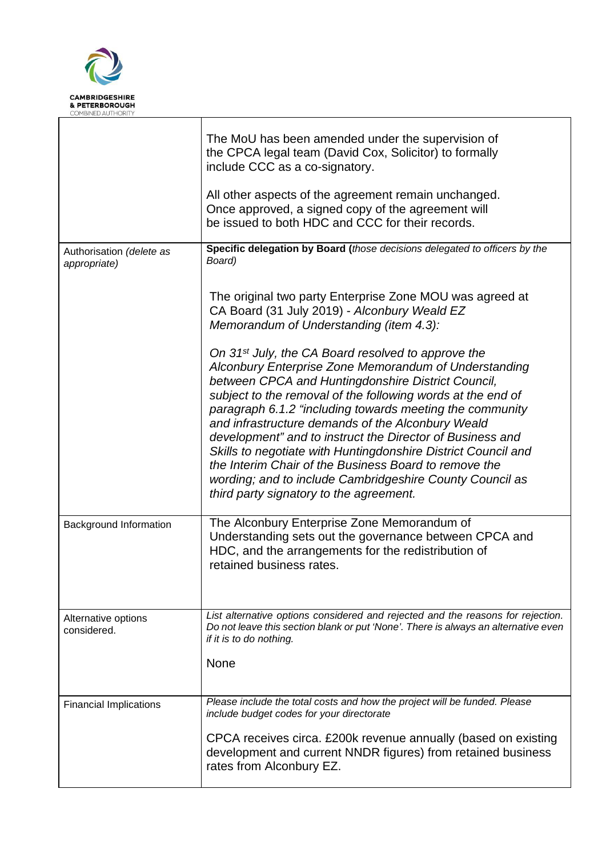

 $\sqrt{2}$ 

|                                          | The MoU has been amended under the supervision of<br>the CPCA legal team (David Cox, Solicitor) to formally<br>include CCC as a co-signatory.<br>All other aspects of the agreement remain unchanged.<br>Once approved, a signed copy of the agreement will<br>be issued to both HDC and CCC for their records.                                                                                                                                                                                                                                                                                                                                             |
|------------------------------------------|-------------------------------------------------------------------------------------------------------------------------------------------------------------------------------------------------------------------------------------------------------------------------------------------------------------------------------------------------------------------------------------------------------------------------------------------------------------------------------------------------------------------------------------------------------------------------------------------------------------------------------------------------------------|
| Authorisation (delete as<br>appropriate) | Specific delegation by Board (those decisions delegated to officers by the<br>Board)                                                                                                                                                                                                                                                                                                                                                                                                                                                                                                                                                                        |
|                                          | The original two party Enterprise Zone MOU was agreed at<br>CA Board (31 July 2019) - Alconbury Weald EZ<br>Memorandum of Understanding (item 4.3):                                                                                                                                                                                                                                                                                                                                                                                                                                                                                                         |
|                                          | On 31 <sup>st</sup> July, the CA Board resolved to approve the<br>Alconbury Enterprise Zone Memorandum of Understanding<br>between CPCA and Huntingdonshire District Council,<br>subject to the removal of the following words at the end of<br>paragraph 6.1.2 "including towards meeting the community<br>and infrastructure demands of the Alconbury Weald<br>development" and to instruct the Director of Business and<br>Skills to negotiate with Huntingdonshire District Council and<br>the Interim Chair of the Business Board to remove the<br>wording; and to include Cambridgeshire County Council as<br>third party signatory to the agreement. |
| Background Information                   | The Alconbury Enterprise Zone Memorandum of<br>Understanding sets out the governance between CPCA and<br>HDC, and the arrangements for the redistribution of<br>retained business rates.                                                                                                                                                                                                                                                                                                                                                                                                                                                                    |
| Alternative options<br>considered.       | List alternative options considered and rejected and the reasons for rejection.<br>Do not leave this section blank or put 'None'. There is always an alternative even<br>if it is to do nothing.<br>None                                                                                                                                                                                                                                                                                                                                                                                                                                                    |
| <b>Financial Implications</b>            | Please include the total costs and how the project will be funded. Please<br>include budget codes for your directorate<br>CPCA receives circa. £200k revenue annually (based on existing<br>development and current NNDR figures) from retained business<br>rates from Alconbury EZ.                                                                                                                                                                                                                                                                                                                                                                        |